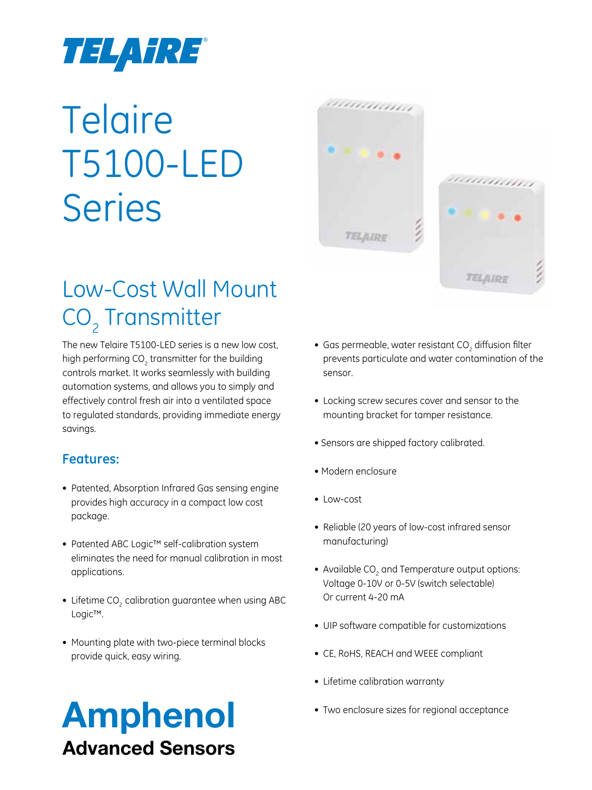

# **Telaire** T5100-LED Series

# ,,,,,,,,,,,, TELAIRE TELAIRE

### Low-Cost Wall Mount CO<sub>2</sub> Transmitter

The new Telaire T5100-LED series is a new low cost, high performing  $CO<sub>2</sub>$  transmitter for the building controls market. It works seamlessly with building automation systems, and allows you to simply and effectively control fresh air into a ventilated space to regulated standards, providing immediate energy savings.

#### **Features:**

- Patented, Absorption Infrared Gas sensing engine provides high accuracy in a compact low cost package.
- • Patented ABC Logic™ self-calibration system eliminates the need for manual calibration in most applications.
- Lifetime CO<sub>2</sub> calibration guarantee when using ABC Logic™.
- Mounting plate with two-piece terminal blocks provide quick, easy wiring.

#### $\bullet\,$  Gas permeable, water resistant CO $_{_2}$  diffusion filter prevents particulate and water contamination of the sensor.

- Locking screw secures cover and sensor to the mounting bracket for tamper resistance.
- Sensors are shipped factory calibrated.
- Modern enclosure
- Low-cost
- Reliable (20 years of low-cost infrared sensor manufacturing)
- Available  $CO<sub>2</sub>$  and Temperature output options: Voltage 0-10V or 0-5V (switch selectable) Or current 4-20 mA
- • UIP software compatible for customizations
- CE, RoHS, REACH and WEEE compliant
- Lifetime calibration warranty
- Two enclosure sizes for regional acceptance

### Amphenol Advanced Sensors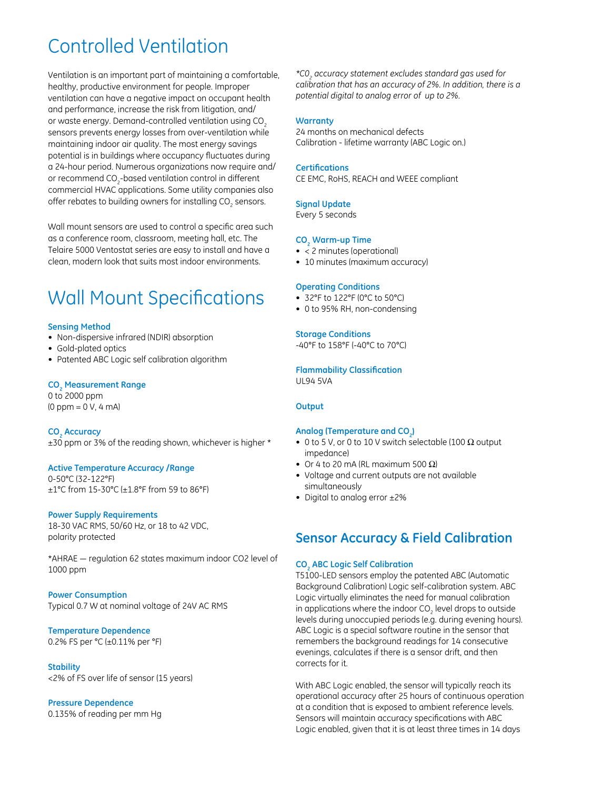### Controlled Ventilation

Ventilation is an important part of maintaining a comfortable, healthy, productive environment for people. Improper ventilation can have a negative impact on occupant health and performance, increase the risk from litigation, and/ or waste energy. Demand-controlled ventilation using CO<sub>2</sub> sensors prevents energy losses from over-ventilation while maintaining indoor air quality. The most energy savings potential is in buildings where occupancy fluctuates during a 24-hour period. Numerous organizations now require and/ or recommend CO<sub>2</sub>-based ventilation control in different commercial HVAC applications. Some utility companies also offer rebates to building owners for installing CO $_{\tiny 2}$  sensors.

Wall mount sensors are used to control a specific area such as a conference room, classroom, meeting hall, etc. The Telaire 5000 Ventostat series are easy to install and have a clean, modern look that suits most indoor environments.

### Wall Mount Specifications

#### **Sensing Method**

- Non-dispersive infrared (NDIR) absorption
- • Gold-plated optics
- Patented ABC Logic self calibration algorithm

#### **CO2 Measurement Range**

0 to 2000 ppm (0 ppm = 0 V, 4 mA)

**CO2 Accuracy** ±30 ppm or 3% of the reading shown, whichever is higher \*

#### **Active Temperature Accuracy /Range**

0-50°C (32-122°F) ±1°C from 15-30°C (±1.8°F from 59 to 86°F)

#### **Power Supply Requirements**

18-30 VAC RMS, 50/60 Hz, or 18 to 42 VDC, polarity protected

\*AHRAE — regulation 62 states maximum indoor CO2 level of 1000 ppm

#### **Power Consumption**

Typical 0.7 W at nominal voltage of 24V AC RMS

#### **Temperature Dependence**

0.2% FS per °C (±0.11% per °F)

#### **Stability** <2% of FS over life of sensor (15 years)

#### **Pressure Dependence**

0.135% of reading per mm Hg

*\*C02 accuracy statement excludes standard gas used for calibration that has an accuracy of 2%. In addition, there is a potential digital to analog error of up to 2%.*

#### **Warranty**

24 months on mechanical defects Calibration - lifetime warranty (ABC Logic on.)

#### **Certifications**

CE EMC, RoHS, REACH and WEEE compliant

#### **Signal Update**

Every 5 seconds

#### **CO2 Warm-up Time**

- < 2 minutes (operational)
- 10 minutes (maximum accuracy)

#### **Operating Conditions**

- • 32°F to 122°F (0°C to 50°C)
- 0 to 95% RH, non-condensing

#### **Storage Conditions**

-40°F to 158°F (-40°C to 70°C)

#### **Flammability Classification**

UL94 5VA

#### **Output**

#### Analog (Temperature and CO<sub>2</sub>)

- 0 to 5 V, or 0 to 10 V switch selectable (100  $\Omega$  output impedance)
- Or 4 to 20 mA (RL maximum 500  $\Omega$ )
- Voltage and current outputs are not available simultaneously
- Digital to analog error ±2%

#### **Sensor Accuracy & Field Calibration**

#### **CO2 ABC Logic Self Calibration**

T5100-LED sensors employ the patented ABC (Automatic Background Calibration) Logic self-calibration system. ABC Logic virtually eliminates the need for manual calibration in applications where the indoor CO<sub>2</sub> level drops to outside levels during unoccupied periods (e.g. during evening hours). ABC Logic is a special software routine in the sensor that remembers the background readings for 14 consecutive evenings, calculates if there is a sensor drift, and then corrects for it.

With ABC Logic enabled, the sensor will typically reach its operational accuracy after 25 hours of continuous operation at a condition that is exposed to ambient reference levels. Sensors will maintain accuracy specifications with ABC Logic enabled, given that it is at least three times in 14 days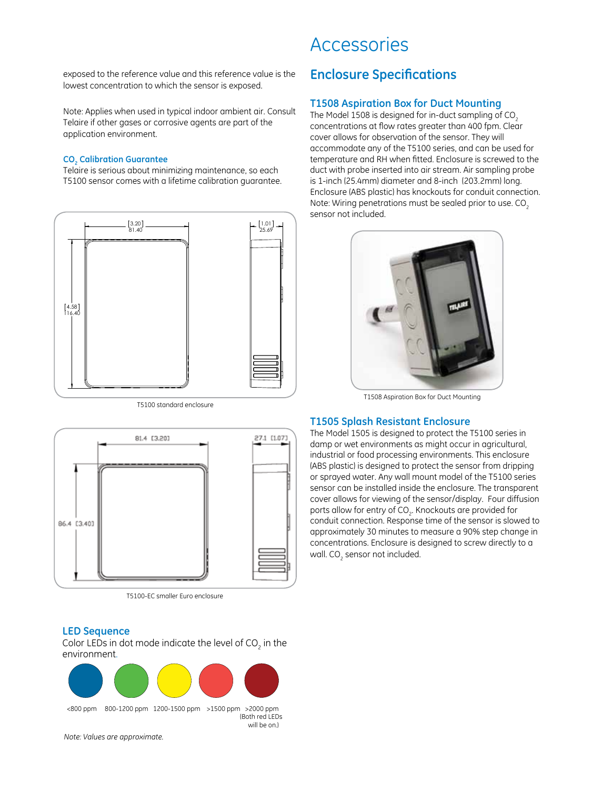exposed to the reference value and this reference value is the lowest concentration to which the sensor is exposed.

Note: Applies when used in typical indoor ambient air. Consult Telaire if other gases or corrosive agents are part of the application environment.

#### **CO2 Calibration Guarantee**

Telaire is serious about minimizing maintenance, so each T5100 sensor comes with a lifetime calibration guarantee.



T5100 standard enclosure



T5100-EC smaller Euro enclosure

#### **LED Sequence**

Color LEDs in dot mode indicate the level of CO<sub>2</sub> in the environment.



*Note: Values are approximate.*

#### Accessories

#### **Enclosure Specifications**

#### **T1508 Aspiration Box for Duct Mounting**

The Model 1508 is designed for in-duct sampling of CO<sub>2</sub> concentrations at flow rates greater than 400 fpm. Clear cover allows for observation of the sensor. They will accommodate any of the T5100 series, and can be used for temperature and RH when fitted. Enclosure is screwed to the duct with probe inserted into air stream. Air sampling probe is 1-inch (25.4mm) diameter and 8-inch (203.2mm) long. Enclosure (ABS plastic) has knockouts for conduit connection. Note: Wiring penetrations must be sealed prior to use. CO<sub>2</sub> sensor not included.



T1508 Aspiration Box for Duct Mounting

#### **T1505 Splash Resistant Enclosure**

The Model 1505 is designed to protect the T5100 series in damp or wet environments as might occur in agricultural, industrial or food processing environments. This enclosure (ABS plastic) is designed to protect the sensor from dripping or sprayed water. Any wall mount model of the T5100 series sensor can be installed inside the enclosure. The transparent cover allows for viewing of the sensor/display. Four diffusion ports allow for entry of CO $_{\textrm{\tiny{2}}}$ . Knockouts are provided for conduit connection. Response time of the sensor is slowed to approximately 30 minutes to measure a 90% step change in concentrations. Enclosure is designed to screw directly to a wall. CO<sub>2</sub> sensor not included.